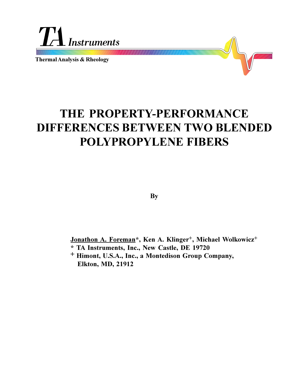

**Thermal Analysis & Rheology**

# **THE PROPERTY-PERFORMANCE DIFFERENCES BETWEEN TWO BLENDED POLYPROPYLENE FIBERS**

**By**

**Jonathon A. Foreman\*, Ken A. Klinger+, Michael Wolkowicz<sup>+</sup>**

**\* TA Instruments, Inc., New Castle, DE 19720**

**+ Himont, U.S.A., Inc., a Montedison Group Company, Elkton, MD, 21912**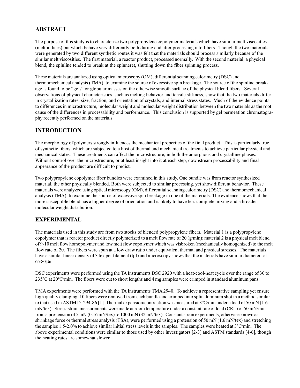## **ABSTRACT**

The purpose of this study is to characterize two polypropylene copolymer materials which have similar melt viscosities (melt indices) but which behave very differently both during and after processing into fibers. Though the two materials were generated by two different synthetic routes it was felt that the materials should process similarly because of the similar melt viscosities. The first material, a reactor product, processed normally. With the second material, a physical blend, the spinline tended to break at the spinneret, shutting down the fiber spinning process.

These materials are analyzed using optical microscopy (OM), differential scanning calorimetry (DSC) and thermomechanical analysis (TMA), to examine the source of excessive spin breakage. The source of the spinline breakage is found to be "gels" or globular masses on the otherwise smooth surface of the physical blend fibers. Several observations of physical characteristics, such as melting behavior and tensile stiffness, show that the two materials differ in crystallization rates, size, fraction, and orientation of crystals, and internal stress states. Much of the evidence points to differences in microstructure, molecular weight and molecular weight distribution between the two materials as the root cause of the differences in processability and performance. This conclusion is supported by gel permeation chromatography recently performed on the materials.

## **INTRODUCTION**

The morphology of polymers strongly influences the mechanical properties of the final product. This is particularly true of synthetic fibers, which are subjected to a host of thermal and mechanical treatments to achieve particular physical and mechanical states. These treatments can affect the microstructure, in both the amorphous and crystalline phases. Without control over the microstructure, or at least insight into it at each step, downstream processability and final appearance of the product are difficult to predict.

Two polypropylene copolymer fiber bundles were examined in this study. One bundle was from reactor synthesized material, the other physically blended. Both were subjected to similar processing, yet show different behavior. These materials were analyzed using optical microscopy (OM), differential scanning calorimetry (DSC) and thermomechanical analysis (TMA), to examine the source of excessive spin breakage in one of the materials. The evidence shows that the more susceptible blend has a higher degree of orientation and is likely to have less complete mixing and a broader molecular weight distribution.

## **EXPERIMENTAL**

The materials used in this study are from two stocks of blended polypropylene fibers. Material 1 is a polypropylene copolymer that is reactor product directly polymerized to a melt flow rate of 20 ( $g/min$ ); material 2 is a physical melt blend of 9-10 melt flow homopolymer and low melt flow copolymer which was visbroken (mechanically homogenized) to the melt flow rate of 20. The fibers were spun at a low draw ratio under equivalent thermal and physical stresses. The materials have a similar linear density of 3 tex per filament (tpf) and microscopy shows that the materials have similar diameters at 65-80 µm.

DSC experiments were performed using the TA Instruments DSC 2920 with a heat-cool-heat cycle over the range of 30 to 235ºC at 20ºC/min. The fibers were cut to short lengths and 4 mg samples were crimped in standard aluminum pans.

TMA experiments were performed with the TA Instruments TMA 2940. To achieve a representative sampling yet ensure high quality clamping, 10 fibers were removed from each bundle and crimped into split aluminum shot in a method similar to that used in ASTM D1294-86 [1]. Thermal expansion/contraction was measured at  $3^{\circ}$ C/min under a load of 50 mN (1.6) mN/tex). Stress-strain measurements were made at room temperature under a constant rate of load (CRL) of 50 mN/min from a pre-tension of 5 mN (0.16 mN/tex) to 1000 mN (32 mN/tex). Constant strain experiments, otherwise known as shrinkage force or thermal stress analysis (TSA), were performed using a pretension of 50 mN (1.6 mN/tex) and stretching the samples 1.5-2.0% to achieve similar initial stress levels in the samples. The samples were heated at 3ºC/min. The above experimental conditions were similar to those used by other investigators [2-3] and ASTM standards [4-6], though the heating rates are somewhat slower.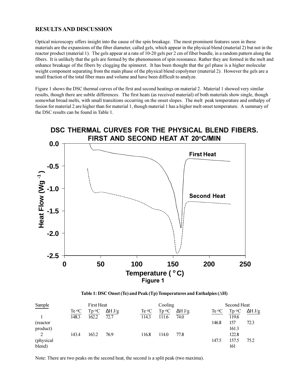### **RESULTS AND DISCUSSION**

Optical microscopy offers insight into the cause of the spin breakage. The most prominent features seen in these materials are the expansions of the fiber diameter, called gels, which appear in the physical blend (material 2) but not in the reactor product (material 1). The gels appear at a rate of 10-20 gels per 2 cm of fiber bundle, in a random pattern along the fibers. It is unlikely that the gels are formed by the phenomenon of spin resonance. Rather they are formed in the melt and enhance breakage of the fibers by clogging the spinneret. It has been thought that the gel phase is a higher molecular weight component separating from the main phase of the physical blend copolymer (material 2). However the gels are a small fraction of the total fiber mass and volume and have been difficult to analyze.

Figure 1 shows the DSC thermal curves of the first and second heatings on material 2. Material 1 showed very similar results, though there are subtle differences. The first heats (as received material) of both materials show single, though somewhat broad melts, with small transitions occurring on the onset slopes. The melt peak temperature and enthalpy of fusion for material 2 are higher than for material 1, though material 1 has a higher melt onset temperature. A summary of the DSC results can be found in Table 1.



Table 1: DSC Onset (Te) and Peak (Tp) Temperatures and Enthalpies ( $\Delta H$ )

| Sample                   | <b>First Heat</b> |                                                                |                        |                | Cooling                    |                        |       | Second Heat           |                |  |
|--------------------------|-------------------|----------------------------------------------------------------|------------------------|----------------|----------------------------|------------------------|-------|-----------------------|----------------|--|
|                          | Te oC<br>148.3    | $\mathop{\rm Tp}\nolimits$ $\mathop{\rm oC}\nolimits$<br>162.2 | $\Delta H J/g$<br>72.7 | Te oC<br>114.3 | Tp <sup>o</sup> C<br>111.6 | $\Delta H J/g$<br>74.0 | Te oC | Tp oC<br>119.6        | $\Delta H J/g$ |  |
| (reactor<br>product)     |                   |                                                                |                        |                |                            |                        | 146.8 | 157<br>161.3          | 72.3           |  |
| 2<br>(physical<br>blend) | 143.4             | 163.2                                                          | 76.9                   | 116.8          | 114.0                      | 77.8                   | 147.5 | 122.8<br>157.5<br>161 | 75.2           |  |

Note: There are two peaks on the second heat, the second is a split peak (two maxima).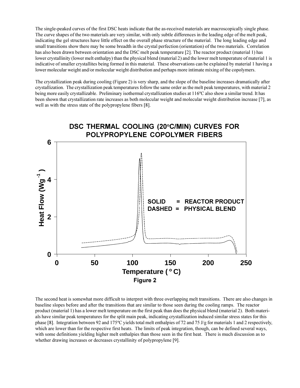The single-peaked curves of the first DSC heats indicate that the as-received materials are macroscopically single phase. The curve shapes of the two materials are very similar, with only subtle differences in the leading edge of the melt peak, indicating the gel structures have little effect on the overall phase structure of the material. The long leading edge and small transitions show there may be some breadth in the crystal perfection (orientation) of the two materials. Correlation has also been drawn between orientation and the DSC melt peak temperature [2]. The reactor product (material 1) has lower crystallinity (lower melt enthalpy) than the physical blend (material 2) and the lower melt temperature of material 1 is indicative of smaller crystallites being formed in this material. These observations can be explained by material 1 having a lower molecular weight and/or molecular weight distribution and perhaps more intimate mixing of the copolymers.

The crystallization peak during cooling (Figure 2) is very sharp, and the slope of the baseline increases dramatically after crystallization. The crystallization peak temperatures follow the same order as the melt peak temperatures, with material 2 being more easily crystallizable. Preliminary isothermal crystallization studies at 116ºC also show a similar trend. It has been shown that crystallization rate increases as both molecular weight and molecular weight distribution increase [7], as well as with the stress state of the polypropylene fibers [8].



The second heat is somewhat more difficult to interpret with three overlapping melt transitions. There are also changes in baseline slopes before and after the transitions that are similar to those seen during the cooling ramps. The reactor product (material 1) has a lower melt temperature on the first peak than does the physical blend (material 2). Both materials have similar peak temperatures for the split main peak, indicating crystallization induced similar stress states for this phase [8]. Integration between 92 and 175ºC yields total melt enthalpies of 72 and 75 J/g for materials 1 and 2 respectively, which are lower than for the respective first heats. The limits of peak integration, though, can be defined several ways, with some definitions yielding higher melt enthalpies than those seen in the first heat. There is much discussion as to whether drawing increases or decreases crystallinity of polypropylene [9].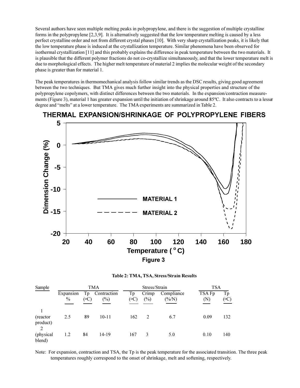Several authors have seen multiple melting peaks in polypropylene, and there is the suggestion of multiple crystalline forms in the polypropylene [2,3,9]. It is alternatively suggested that the low temperature melting is caused by a less perfect crystalline order and not from different crystal phases [10]. With very sharp crystallization peaks, it is likely that the low temperature phase is induced at the crystallization temperature. Similar phenomena have been observed for isothermal crystallization [11] and this probably explains the difference in peak temperature between the two materials. It is plausible that the different polymer fractions do not co-crystallize simultaneously, and that the lower temperature melt is due to morphological effects. The higher melt temperature of material 2 implies the molecular weight of the secondary phase is greater than for material 1.

The peak temperatures in thermomechanical analysis follow similar trends as the DSC results, giving good agreement between the two techniques. But TMA gives much further insight into the physical properties and structure of the polypropylene copolymers, with distinct differences between the two materials. In the expansion/contraction measurements (Figure 3), material 1 has greater expansion until the initiation of shrinkage around 85°C. It also contracts to a lesser degree and "melts" at a lower temperature. The TMA experiments are summarized in Table 2.





| Sample                                | <b>TMA</b>                 |                     |                       | Stress/Strain |                 |                               |               | <b>TSA</b> |  |
|---------------------------------------|----------------------------|---------------------|-----------------------|---------------|-----------------|-------------------------------|---------------|------------|--|
|                                       | Expansion<br>$\frac{0}{0}$ | Tp<br>$\rm ^{(oC)}$ | Contraction<br>$(\%)$ | Tp<br>(0C)    | $C$ rimp<br>(%) | Compliance<br>$(\frac{6}{N})$ | TSA Fp<br>(N) | Tp<br>(0C) |  |
| (reactor)<br>product)                 | 2.5                        | 89                  | $10 - 11$             | 162           | 2               | 6.7                           | 0.09          | 132        |  |
| $\overline{2}$<br>(physical<br>blend) | 1.2                        | 84                  | 14-19                 | 167           | 3               | 5.0                           | 0.10          | 140        |  |

Note: For expansion, contraction and TSA, the Tp is the peak temperature for the associated transition. The three peak temperatures roughly correspond to the onset of shrinkage, melt and softening, respectively.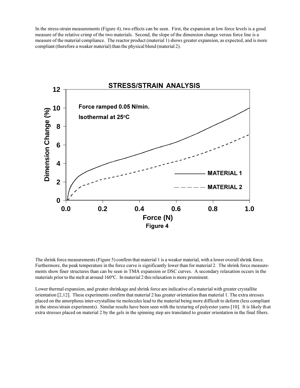In the stress-strain measurements (Figure 4), two effects can be seen. First, the expansion at low force levels is a good measure of the relative crimp of the two materials. Second, the slope of the dimension change versus force line is a measure of the material compliance. The reactor product (material 1) shows greater expansion, as expected, and is more compliant (therefore a weaker material) than the physical blend (material 2).



The shrink force measurements (Figure 5) confirm that material 1 is a weaker material, with a lower overall shrink force. Furthermore, the peak temperature in the force curve is significantly lower than for material 2. The shrink force measurements show finer structures than can be seen in TMA expansion or DSC curves. A secondary relaxation occurs in the materials prior to the melt at around 160ºC. In material 2 this relaxation is more prominent.

Lower thermal expansion, and greater shrinkage and shrink force are indicative of a material with greater crystallite orientation [2,12]. These experiments confirm that material 2 has greater orientation than material 1. The extra stresses placed on the amorphous inter-crystalline tie molecules lead to the material being more difficult to deform (less compliant in the stress/strain experiments). Similar results have been seen with the texturing of polyester yarns [10]. It is likely that extra stresses placed on material 2 by the gels in the spinning step are translated to greater orientation in the final fibers.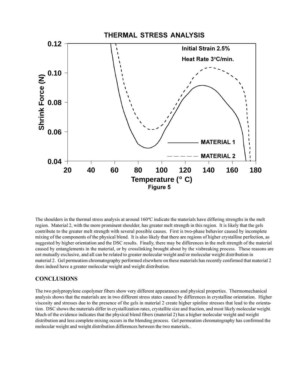

The shoulders in the thermal stress analysis at around 160ºC indicate the materials have differing strengths in the melt region. Material 2, with the more prominent shoulder, has greater melt strength in this region. It is likely that the gels contribute to the greater melt strength with several possible causes. First is two-phase behavior caused by incomplete mixing of the components of the physical blend. It is also likely that there are regions of higher crystalline perfection, as suggested by higher orientation and the DSC results. Finally, there may be differences in the melt strength of the material caused by entanglements in the material, or by crosslinking brought about by the visbreaking process. These reasons are not mutually exclusive, and all can be related to greater molecular weight and/or molecular weight distribution in material 2. Gel permeation chromatography performed elsewhere on these materials has recently confirmed that material 2 does indeed have a greater molecular weight and weight distribution.

#### **CONCLUSIONS**

The two polypropylene copolymer fibers show very different appearances and physical properties. Thermomechanical analysis shows that the materials are in two different stress states caused by differences in crystalline orientation. Higher viscosity and stresses due to the presence of the gels in material 2 create higher spinline stresses that lead to the orientation. DSC shows the materials differ in crystallization rates, crystallite size and fraction, and most likely molecular weight. Much of the evidence indicates that the physical blend fibers (material 2) has a higher molecular weight and weight distribution and less complete mixing occurs in the blending process. Gel permeation chromatography has confirmed the molecular weight and weight distribution differences between the two materials..